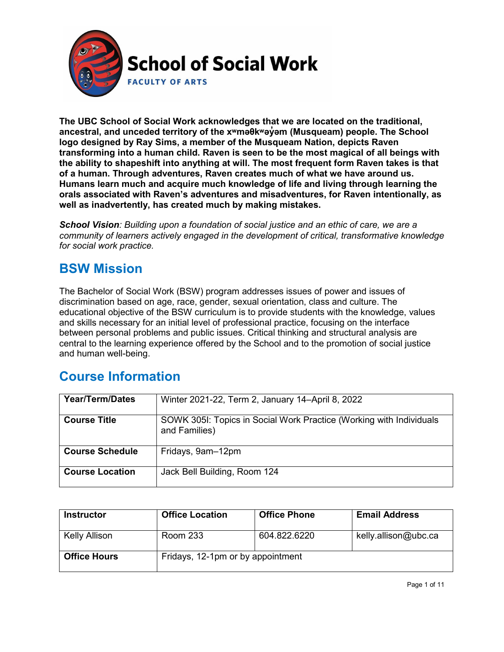

**The UBC School of Social Work acknowledges that we are located on the traditional, ancestral, and unceded territory of the [xʷməθkʷəy̓əm](http://www.musqueam.bc.ca/) (Musqueam) people. The School logo designed by Ray Sims, a member of the Musqueam Nation, depicts Raven transforming into a human child. Raven is seen to be the most magical of all beings with the ability to shapeshift into anything at will. The most frequent form Raven takes is that of a human. Through adventures, Raven creates much of what we have around us. Humans learn much and acquire much knowledge of life and living through learning the orals associated with Raven's adventures and misadventures, for Raven intentionally, as well as inadvertently, has created much by making mistakes.**

*School Vision: Building upon a foundation of social justice and an ethic of care, we are a community of learners actively engaged in the development of critical, transformative knowledge for social work practice.*

### **BSW Mission**

The Bachelor of Social Work (BSW) program addresses issues of power and issues of discrimination based on age, race, gender, sexual orientation, class and culture. The educational objective of the BSW curriculum is to provide students with the knowledge, values and skills necessary for an initial level of professional practice, focusing on the interface between personal problems and public issues. Critical thinking and structural analysis are central to the learning experience offered by the School and to the promotion of social justice and human well-being.

### **Course Information**

| <b>Year/Term/Dates</b> | Winter 2021-22, Term 2, January 14-April 8, 2022                                     |
|------------------------|--------------------------------------------------------------------------------------|
| <b>Course Title</b>    | SOWK 3051: Topics in Social Work Practice (Working with Individuals<br>and Families) |
| <b>Course Schedule</b> | Fridays, 9am-12pm                                                                    |
| <b>Course Location</b> | Jack Bell Building, Room 124                                                         |

| <b>Instructor</b>   | <b>Office Location</b>            | <b>Office Phone</b> | <b>Email Address</b> |
|---------------------|-----------------------------------|---------------------|----------------------|
| Kelly Allison       | <b>Room 233</b>                   | 604.822.6220        | kelly.allison@ubc.ca |
| <b>Office Hours</b> | Fridays, 12-1pm or by appointment |                     |                      |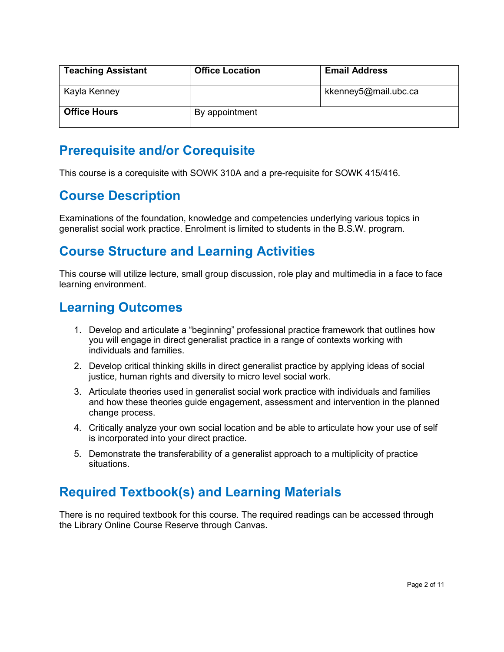| <b>Teaching Assistant</b> | <b>Office Location</b> | <b>Email Address</b> |
|---------------------------|------------------------|----------------------|
| Kayla Kenney              |                        | kkenney5@mail.ubc.ca |
| <b>Office Hours</b>       | By appointment         |                      |

### **Prerequisite and/or Corequisite**

This course is a corequisite with SOWK 310A and a pre-requisite for SOWK 415/416.

### **Course Description**

Examinations of the foundation, knowledge and competencies underlying various topics in generalist social work practice. Enrolment is limited to students in the B.S.W. program.

### **Course Structure and Learning Activities**

This course will utilize lecture, small group discussion, role play and multimedia in a face to face learning environment.

### **Learning Outcomes**

- 1. Develop and articulate a "beginning" professional practice framework that outlines how you will engage in direct generalist practice in a range of contexts working with individuals and families.
- 2. Develop critical thinking skills in direct generalist practice by applying ideas of social justice, human rights and diversity to micro level social work.
- 3. Articulate theories used in generalist social work practice with individuals and families and how these theories guide engagement, assessment and intervention in the planned change process.
- 4. Critically analyze your own social location and be able to articulate how your use of self is incorporated into your direct practice.
- 5. Demonstrate the transferability of a generalist approach to a multiplicity of practice situations.

# **Required Textbook(s) and Learning Materials**

There is no required textbook for this course. The required readings can be accessed through the Library Online Course Reserve through Canvas.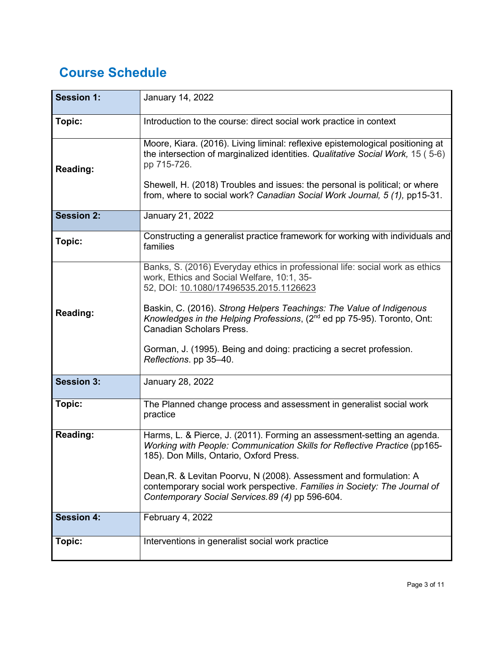# **Course Schedule**

| <b>Session 1:</b> | January 14, 2022                                                                                                                                                                                                                                                                                                                                                                                                                                                        |
|-------------------|-------------------------------------------------------------------------------------------------------------------------------------------------------------------------------------------------------------------------------------------------------------------------------------------------------------------------------------------------------------------------------------------------------------------------------------------------------------------------|
| Topic:            | Introduction to the course: direct social work practice in context                                                                                                                                                                                                                                                                                                                                                                                                      |
| <b>Reading:</b>   | Moore, Kiara. (2016). Living liminal: reflexive epistemological positioning at<br>the intersection of marginalized identities. Qualitative Social Work, 15 (5-6)<br>pp 715-726.<br>Shewell, H. (2018) Troubles and issues: the personal is political; or where<br>from, where to social work? Canadian Social Work Journal, 5 (1), pp15-31.                                                                                                                             |
| <b>Session 2:</b> | January 21, 2022                                                                                                                                                                                                                                                                                                                                                                                                                                                        |
| Topic:            | Constructing a generalist practice framework for working with individuals and<br>families                                                                                                                                                                                                                                                                                                                                                                               |
| <b>Reading:</b>   | Banks, S. (2016) Everyday ethics in professional life: social work as ethics<br>work, Ethics and Social Welfare, 10:1, 35-<br>52, DOI: 10.1080/17496535.2015.1126623<br>Baskin, C. (2016). Strong Helpers Teachings: The Value of Indigenous<br>Knowledges in the Helping Professions, (2 <sup>nd</sup> ed pp 75-95). Toronto, Ont:<br><b>Canadian Scholars Press.</b><br>Gorman, J. (1995). Being and doing: practicing a secret profession.<br>Reflections. pp 35-40. |
| <b>Session 3:</b> | January 28, 2022                                                                                                                                                                                                                                                                                                                                                                                                                                                        |
| Topic:            | The Planned change process and assessment in generalist social work<br>practice                                                                                                                                                                                                                                                                                                                                                                                         |
| <b>Reading:</b>   | Harms, L. & Pierce, J. (2011). Forming an assessment-setting an agenda.<br>Working with People: Communication Skills for Reflective Practice (pp165-<br>185). Don Mills, Ontario, Oxford Press.<br>Dean, R. & Levitan Poorvu, N (2008). Assessment and formulation: A<br>contemporary social work perspective. Families in Society: The Journal of<br>Contemporary Social Services. 89 (4) pp 596-604.                                                                  |
| <b>Session 4:</b> | February 4, 2022                                                                                                                                                                                                                                                                                                                                                                                                                                                        |
| Topic:            | Interventions in generalist social work practice                                                                                                                                                                                                                                                                                                                                                                                                                        |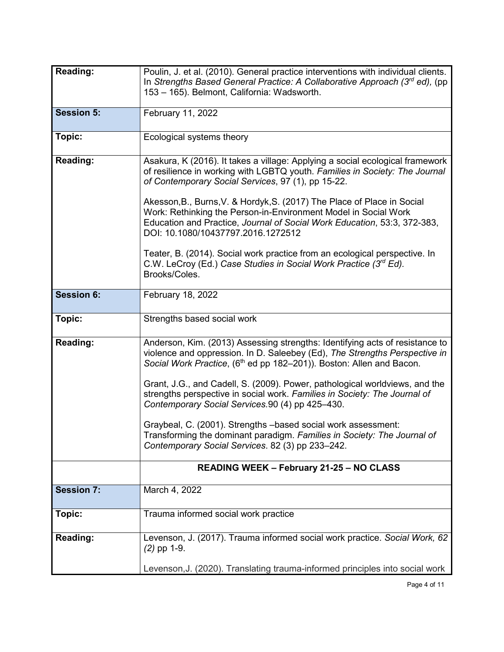| Reading:          | Poulin, J. et al. (2010). General practice interventions with individual clients.<br>In Strengths Based General Practice: A Collaborative Approach $(3rd$ ed), (pp<br>153 - 165). Belmont, California: Wadsworth.                                            |
|-------------------|--------------------------------------------------------------------------------------------------------------------------------------------------------------------------------------------------------------------------------------------------------------|
| <b>Session 5:</b> | February 11, 2022                                                                                                                                                                                                                                            |
| Topic:            | Ecological systems theory                                                                                                                                                                                                                                    |
| <b>Reading:</b>   | Asakura, K (2016). It takes a village: Applying a social ecological framework<br>of resilience in working with LGBTQ youth. Families in Society: The Journal<br>of Contemporary Social Services, 97 (1), pp 15-22.                                           |
|                   | Akesson, B., Burns, V. & Hordyk, S. (2017) The Place of Place in Social<br>Work: Rethinking the Person-in-Environment Model in Social Work<br>Education and Practice, Journal of Social Work Education, 53:3, 372-383,<br>DOI: 10.1080/10437797.2016.1272512 |
|                   | Teater, B. (2014). Social work practice from an ecological perspective. In<br>C.W. LeCroy (Ed.) Case Studies in Social Work Practice (3rd Ed).<br>Brooks/Coles.                                                                                              |
| <b>Session 6:</b> | February 18, 2022                                                                                                                                                                                                                                            |
| Topic:            | Strengths based social work                                                                                                                                                                                                                                  |
| <b>Reading:</b>   | Anderson, Kim. (2013) Assessing strengths: Identifying acts of resistance to<br>violence and oppression. In D. Saleebey (Ed), The Strengths Perspective in<br>Social Work Practice, (6 <sup>th</sup> ed pp 182-201)). Boston: Allen and Bacon.               |
|                   | Grant, J.G., and Cadell, S. (2009). Power, pathological worldviews, and the<br>strengths perspective in social work. Families in Society: The Journal of<br>Contemporary Social Services.90 (4) pp 425-430.                                                  |
|                   | Graybeal, C. (2001). Strengths -based social work assessment:<br>Transforming the dominant paradigm. <i>Families in Society: The Journal of</i><br>Contemporary Social Services. 82 (3) pp 233-242.                                                          |
|                   | <b>READING WEEK - February 21-25 - NO CLASS</b>                                                                                                                                                                                                              |
| <b>Session 7:</b> | March 4, 2022                                                                                                                                                                                                                                                |
| Topic:            | Trauma informed social work practice                                                                                                                                                                                                                         |
| Reading:          | Levenson, J. (2017). Trauma informed social work practice. Social Work, 62<br>$(2)$ pp 1-9.                                                                                                                                                                  |
|                   | Levenson, J. (2020). Translating trauma-informed principles into social work                                                                                                                                                                                 |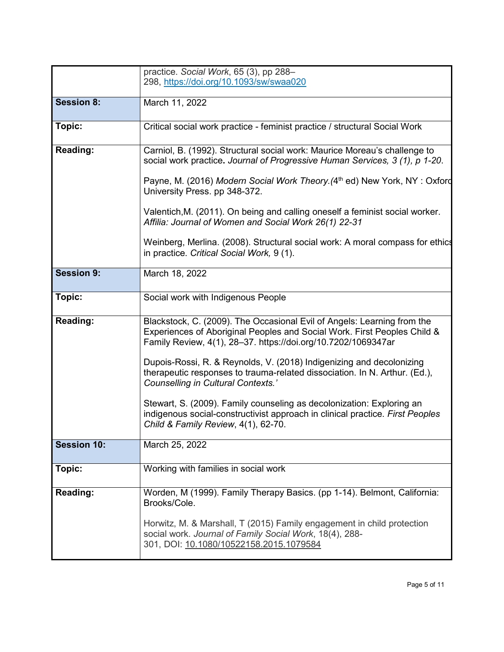|                    | practice. Social Work, 65 (3), pp 288-                                                                                                                   |
|--------------------|----------------------------------------------------------------------------------------------------------------------------------------------------------|
|                    | 298, https://doi.org/10.1093/sw/swaa020                                                                                                                  |
|                    |                                                                                                                                                          |
| <b>Session 8:</b>  | March 11, 2022                                                                                                                                           |
|                    |                                                                                                                                                          |
|                    |                                                                                                                                                          |
| Topic:             | Critical social work practice - feminist practice / structural Social Work                                                                               |
|                    |                                                                                                                                                          |
| <b>Reading:</b>    | Carniol, B. (1992). Structural social work: Maurice Moreau's challenge to<br>social work practice. Journal of Progressive Human Services, 3 (1), p 1-20. |
|                    |                                                                                                                                                          |
|                    | Payne, M. (2016) Modern Social Work Theory. (4th ed) New York, NY: Oxford<br>University Press. pp 348-372.                                               |
|                    |                                                                                                                                                          |
|                    | Valentich, M. (2011). On being and calling oneself a feminist social worker.<br>Affilia: Journal of Women and Social Work 26(1) 22-31                    |
|                    |                                                                                                                                                          |
|                    | Weinberg, Merlina. (2008). Structural social work: A moral compass for ethics<br>in practice. Critical Social Work, 9 (1).                               |
|                    |                                                                                                                                                          |
| <b>Session 9:</b>  | March 18, 2022                                                                                                                                           |
|                    |                                                                                                                                                          |
|                    |                                                                                                                                                          |
| Topic:             | Social work with Indigenous People                                                                                                                       |
|                    |                                                                                                                                                          |
| <b>Reading:</b>    | Blackstock, C. (2009). The Occasional Evil of Angels: Learning from the                                                                                  |
|                    | Experiences of Aboriginal Peoples and Social Work. First Peoples Child &                                                                                 |
|                    | Family Review, 4(1), 28-37. https://doi.org/10.7202/1069347ar                                                                                            |
|                    |                                                                                                                                                          |
|                    | Dupois-Rossi, R. & Reynolds, V. (2018) Indigenizing and decolonizing                                                                                     |
|                    | therapeutic responses to trauma-related dissociation. In N. Arthur. (Ed.),<br>Counselling in Cultural Contexts.'                                         |
|                    |                                                                                                                                                          |
|                    | Stewart, S. (2009). Family counseling as decolonization: Exploring an                                                                                    |
|                    | indigenous social-constructivist approach in clinical practice. First Peoples                                                                            |
|                    | Child & Family Review, 4(1), 62-70.                                                                                                                      |
|                    |                                                                                                                                                          |
| <b>Session 10:</b> | March 25, 2022                                                                                                                                           |
|                    |                                                                                                                                                          |
| Topic:             | Working with families in social work                                                                                                                     |
|                    |                                                                                                                                                          |
| <b>Reading:</b>    | Worden, M (1999). Family Therapy Basics. (pp 1-14). Belmont, California:                                                                                 |
|                    | Brooks/Cole.                                                                                                                                             |
|                    |                                                                                                                                                          |
|                    | Horwitz, M. & Marshall, T (2015) Family engagement in child protection                                                                                   |
|                    | social work. Journal of Family Social Work, 18(4), 288-                                                                                                  |
|                    | 301, DOI: 10.1080/10522158.2015.1079584                                                                                                                  |
|                    |                                                                                                                                                          |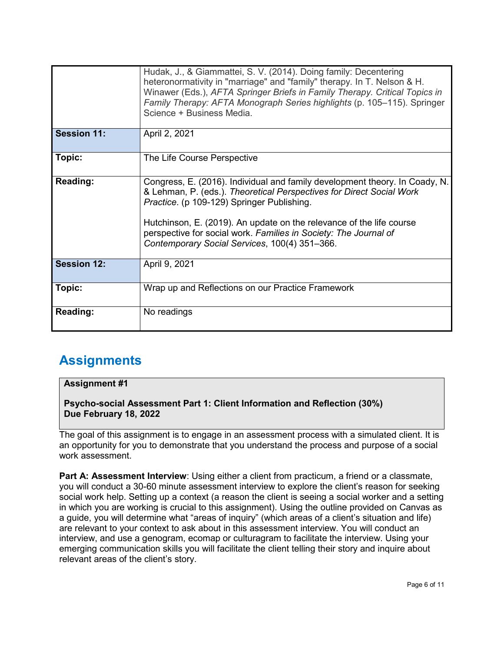|                    | Hudak, J., & Giammattei, S. V. (2014). Doing family: Decentering<br>heteronormativity in "marriage" and "family" therapy. In T. Nelson & H.<br>Winawer (Eds.), AFTA Springer Briefs in Family Therapy. Critical Topics in<br>Family Therapy: AFTA Monograph Series highlights (p. 105–115). Springer<br>Science + Business Media.                                                              |
|--------------------|------------------------------------------------------------------------------------------------------------------------------------------------------------------------------------------------------------------------------------------------------------------------------------------------------------------------------------------------------------------------------------------------|
| <b>Session 11:</b> | April 2, 2021                                                                                                                                                                                                                                                                                                                                                                                  |
| Topic:             | The Life Course Perspective                                                                                                                                                                                                                                                                                                                                                                    |
| <b>Reading:</b>    | Congress, E. (2016). Individual and family development theory. In Coady, N.<br>& Lehman, P. (eds.). Theoretical Perspectives for Direct Social Work<br>Practice. (p 109-129) Springer Publishing.<br>Hutchinson, E. (2019). An update on the relevance of the life course<br>perspective for social work. Families in Society: The Journal of<br>Contemporary Social Services, 100(4) 351-366. |
| <b>Session 12:</b> | April 9, 2021                                                                                                                                                                                                                                                                                                                                                                                  |
| Topic:             | Wrap up and Reflections on our Practice Framework                                                                                                                                                                                                                                                                                                                                              |
| <b>Reading:</b>    | No readings                                                                                                                                                                                                                                                                                                                                                                                    |

# **Assignments**

#### **Assignment #1**

**Psycho-social Assessment Part 1: Client Information and Reflection (30%) Due February 18, 2022**

The goal of this assignment is to engage in an assessment process with a simulated client. It is an opportunity for you to demonstrate that you understand the process and purpose of a social work assessment.

**Part A: Assessment Interview**: Using either a client from practicum, a friend or a classmate, you will conduct a 30-60 minute assessment interview to explore the client's reason for seeking social work help. Setting up a context (a reason the client is seeing a social worker and a setting in which you are working is crucial to this assignment). Using the outline provided on Canvas as a guide, you will determine what "areas of inquiry" (which areas of a client's situation and life) are relevant to your context to ask about in this assessment interview. You will conduct an interview, and use a genogram, ecomap or culturagram to facilitate the interview. Using your emerging communication skills you will facilitate the client telling their story and inquire about relevant areas of the client's story.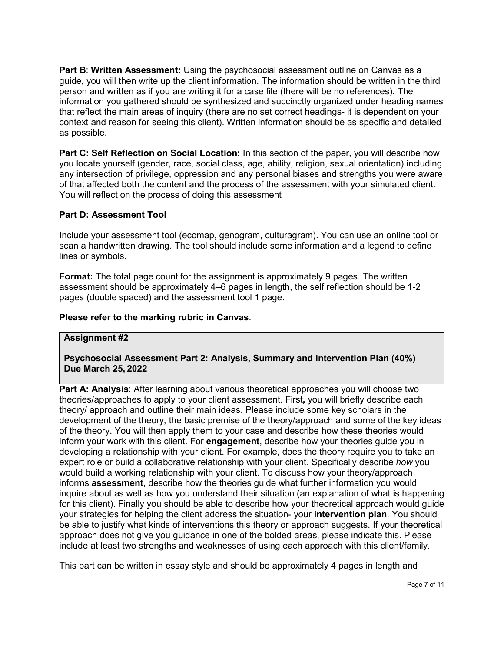**Part B**: **Written Assessment:** Using the psychosocial assessment outline on Canvas as a guide, you will then write up the client information. The information should be written in the third person and written as if you are writing it for a case file (there will be no references). The information you gathered should be synthesized and succinctly organized under heading names that reflect the main areas of inquiry (there are no set correct headings- it is dependent on your context and reason for seeing this client). Written information should be as specific and detailed as possible.

**Part C: Self Reflection on Social Location:** In this section of the paper, you will describe how you locate yourself (gender, race, social class, age, ability, religion, sexual orientation) including any intersection of privilege, oppression and any personal biases and strengths you were aware of that affected both the content and the process of the assessment with your simulated client. You will reflect on the process of doing this assessment

#### **Part D: Assessment Tool**

Include your assessment tool (ecomap, genogram, culturagram). You can use an online tool or scan a handwritten drawing. The tool should include some information and a legend to define lines or symbols.

**Format:** The total page count for the assignment is approximately 9 pages. The written assessment should be approximately 4–6 pages in length, the self reflection should be 1-2 pages (double spaced) and the assessment tool 1 page.

#### **Please refer to the marking rubric in Canvas**.

#### **Assignment #2**

#### **Psychosocial Assessment Part 2: Analysis, Summary and Intervention Plan (40%) Due March 25, 2022**

**Part A: Analysis**: After learning about various theoretical approaches you will choose two theories/approaches to apply to your client assessment. First**,** you will briefly describe each theory/ approach and outline their main ideas. Please include some key scholars in the development of the theory, the basic premise of the theory/approach and some of the key ideas of the theory. You will then apply them to your case and describe how these theories would inform your work with this client. For **engagement**, describe how your theories guide you in developing a relationship with your client. For example, does the theory require you to take an expert role or build a collaborative relationship with your client. Specifically describe *how* you would build a working relationship with your client. To discuss how your theory/approach informs **assessment,** describe how the theories guide what further information you would inquire about as well as how you understand their situation (an explanation of what is happening for this client). Finally you should be able to describe how your theoretical approach would guide your strategies for helping the client address the situation- your **intervention plan**. You should be able to justify what kinds of interventions this theory or approach suggests. If your theoretical approach does not give you guidance in one of the bolded areas, please indicate this. Please include at least two strengths and weaknesses of using each approach with this client/family.

This part can be written in essay style and should be approximately 4 pages in length and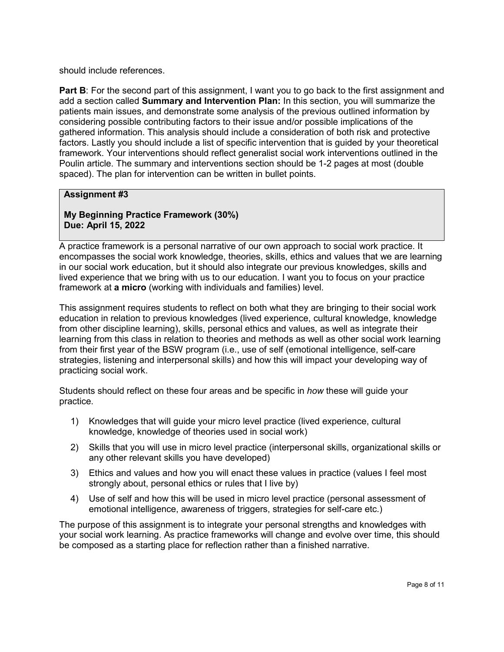should include references.

**Part B:** For the second part of this assignment, I want you to go back to the first assignment and add a section called **Summary and Intervention Plan:** In this section, you will summarize the patients main issues, and demonstrate some analysis of the previous outlined information by considering possible contributing factors to their issue and/or possible implications of the gathered information. This analysis should include a consideration of both risk and protective factors. Lastly you should include a list of specific intervention that is guided by your theoretical framework. Your interventions should reflect generalist social work interventions outlined in the Poulin article. The summary and interventions section should be 1-2 pages at most (double spaced). The plan for intervention can be written in bullet points.

#### **Assignment #3**

**My Beginning Practice Framework (30%) Due: April 15, 2022**

A practice framework is a personal narrative of our own approach to social work practice. It encompasses the social work knowledge, theories, skills, ethics and values that we are learning in our social work education, but it should also integrate our previous knowledges, skills and lived experience that we bring with us to our education. I want you to focus on your practice framework at **a micro** (working with individuals and families) level.

This assignment requires students to reflect on both what they are bringing to their social work education in relation to previous knowledges (lived experience, cultural knowledge, knowledge from other discipline learning), skills, personal ethics and values, as well as integrate their learning from this class in relation to theories and methods as well as other social work learning from their first year of the BSW program (i.e., use of self (emotional intelligence, self-care strategies, listening and interpersonal skills) and how this will impact your developing way of practicing social work.

Students should reflect on these four areas and be specific in *how* these will guide your practice.

- 1) Knowledges that will guide your micro level practice (lived experience, cultural knowledge, knowledge of theories used in social work)
- 2) Skills that you will use in micro level practice (interpersonal skills, organizational skills or any other relevant skills you have developed)
- 3) Ethics and values and how you will enact these values in practice (values I feel most strongly about, personal ethics or rules that I live by)
- 4) Use of self and how this will be used in micro level practice (personal assessment of emotional intelligence, awareness of triggers, strategies for self-care etc.)

The purpose of this assignment is to integrate your personal strengths and knowledges with your social work learning. As practice frameworks will change and evolve over time, this should be composed as a starting place for reflection rather than a finished narrative.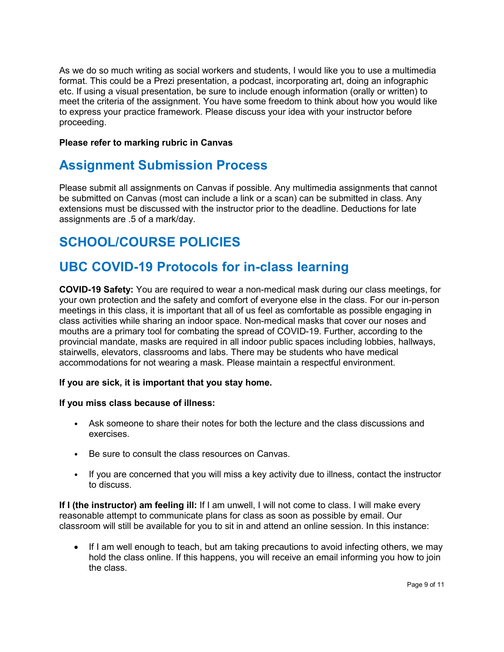As we do so much writing as social workers and students, I would like you to use a multimedia format. This could be a Prezi presentation, a podcast, incorporating art, doing an infographic etc. If using a visual presentation, be sure to include enough information (orally or written) to meet the criteria of the assignment. You have some freedom to think about how you would like to express your practice framework. Please discuss your idea with your instructor before proceeding.

#### **Please refer to marking rubric in Canvas**

### **Assignment Submission Process**

Please submit all assignments on Canvas if possible. Any multimedia assignments that cannot be submitted on Canvas (most can include a link or a scan) can be submitted in class. Any extensions must be discussed with the instructor prior to the deadline. Deductions for late assignments are .5 of a mark/day.

# **SCHOOL/COURSE POLICIES**

### **UBC COVID-19 Protocols for in-class learning**

**COVID-19 Safety:** You are required to wear a non-medical mask during our class meetings, for your own protection and the safety and comfort of everyone else in the class. For our in-person meetings in this class, it is important that all of us feel as comfortable as possible engaging in class activities while sharing an indoor space. Non-medical masks that cover our noses and mouths are a primary tool for combating the spread of COVID-19. Further, according to the provincial mandate, masks are required in all indoor public spaces including lobbies, hallways, stairwells, elevators, classrooms and labs. There may be students who have medical accommodations for not wearing a mask. Please maintain a respectful environment.

#### **If you are sick, it is important that you stay home.**

#### **If you miss class because of illness:**

- Ask someone to share their notes for both the lecture and the class discussions and exercises.
- Be sure to consult the class resources on Canvas.
- If you are concerned that you will miss a key activity due to illness, contact the instructor to discuss.

**If I (the instructor) am feeling ill:** If I am unwell, I will not come to class. I will make every reasonable attempt to communicate plans for class as soon as possible by email. Our classroom will still be available for you to sit in and attend an online session. In this instance:

• If I am well enough to teach, but am taking precautions to avoid infecting others, we may hold the class online. If this happens, you will receive an email informing you how to join the class.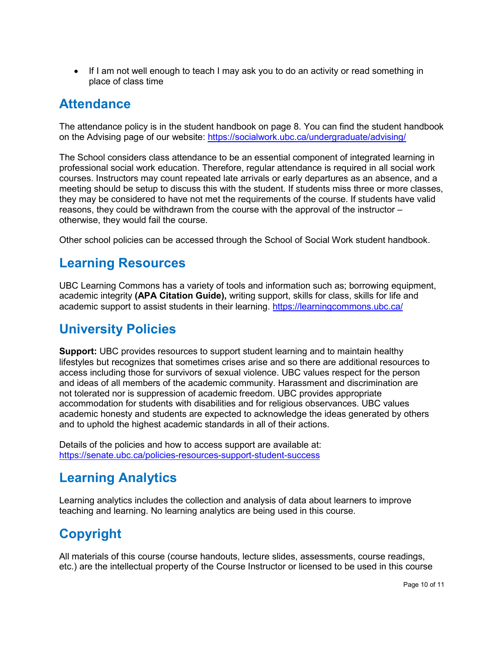• If I am not well enough to teach I may ask you to do an activity or read something in place of class time

### **Attendance**

The attendance policy is in the student handbook on page 8. You can find the student handbook on the Advising page of our website:<https://socialwork.ubc.ca/undergraduate/advising/>

The School considers class attendance to be an essential component of integrated learning in professional social work education. Therefore, regular attendance is required in all social work courses. Instructors may count repeated late arrivals or early departures as an absence, and a meeting should be setup to discuss this with the student. If students miss three or more classes, they may be considered to have not met the requirements of the course. If students have valid reasons, they could be withdrawn from the course with the approval of the instructor – otherwise, they would fail the course.

Other school policies can be accessed through the School of Social Work student handbook.

### **Learning Resources**

UBC Learning Commons has a variety of tools and information such as; borrowing equipment, academic integrity **(APA Citation Guide),** writing support, skills for class, skills for life and academic support to assist students in their learning.<https://learningcommons.ubc.ca/>

# **University Policies**

**Support:** UBC provides resources to support student learning and to maintain healthy lifestyles but recognizes that sometimes crises arise and so there are additional resources to access including those for survivors of sexual violence. UBC values respect for the person and ideas of all members of the academic community. Harassment and discrimination are not tolerated nor is suppression of academic freedom. UBC provides appropriate accommodation for students with disabilities and for religious observances. UBC values academic honesty and students are expected to acknowledge the ideas generated by others and to uphold the highest academic standards in all of their actions.

Details of the policies and how to access support are available at: <https://senate.ubc.ca/policies-resources-support-student-success>

# **Learning Analytics**

Learning analytics includes the collection and analysis of data about learners to improve teaching and learning. No learning analytics are being used in this course.

# **Copyright**

All materials of this course (course handouts, lecture slides, assessments, course readings, etc.) are the intellectual property of the Course Instructor or licensed to be used in this course